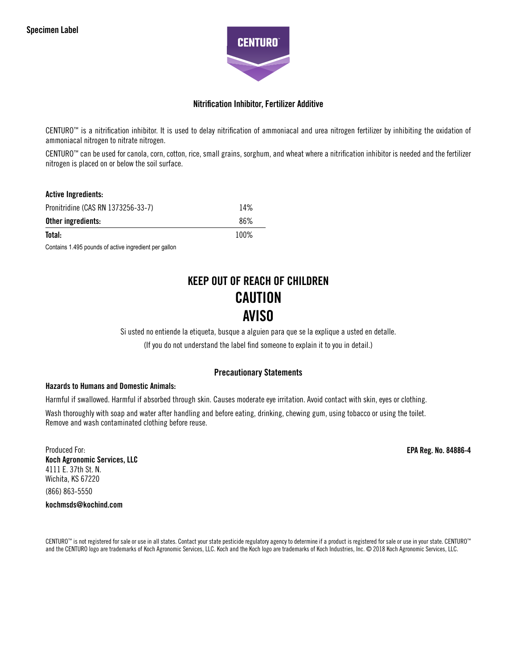

## Nitrification Inhibitor, Fertilizer Additive

CENTURO™ is a nitrification inhibitor. It is used to delay nitrification of ammoniacal and urea nitrogen fertilizer by inhibiting the oxidation of ammoniacal nitrogen to nitrate nitrogen.

CENTURO™ can be used for canola, corn, cotton, rice, small grains, sorghum, and wheat where a nitrification inhibitor is needed and the fertilizer nitrogen is placed on or below the soil surface.

| <b>Active Ingredients:</b>         |      |
|------------------------------------|------|
| Pronitridine (CAS RN 1373256-33-7) | 14%  |
| Other ingredients:                 | 86%  |
| Total:                             | 100% |

Contains 1.495 pounds of active ingredient per gallon

# KEEP OUT OF REACH OF CHILDREN **CAUTION** AVISO

Si usted no entiende la etiqueta, busque a alguien para que se la explique a usted en detalle.

(If you do not understand the label find someone to explain it to you in detail.)

# Precautionary Statements

#### Hazards to Humans and Domestic Animals:

Harmful if swallowed. Harmful if absorbed through skin. Causes moderate eye irritation. Avoid contact with skin, eyes or clothing.

Wash thoroughly with soap and water after handling and before eating, drinking, chewing gum, using tobacco or using the toilet. Remove and wash contaminated clothing before reuse.

Produced For: Koch Agronomic Services, LLC 4111 E. 37th St. N. Wichita, KS 67220 (866) 863-5550 kochmsds@kochind.com

EPA Reg. No. 84886-4

CENTURO™ is not registered for sale or use in all states. Contact your state pesticide regulatory agency to determine if a product is registered for sale or use in your state. CENTURO™ and the CENTURO logo are trademarks of Koch Agronomic Services, LLC. Koch and the Koch logo are trademarks of Koch Industries, Inc. © 2018 Koch Agronomic Services, LLC.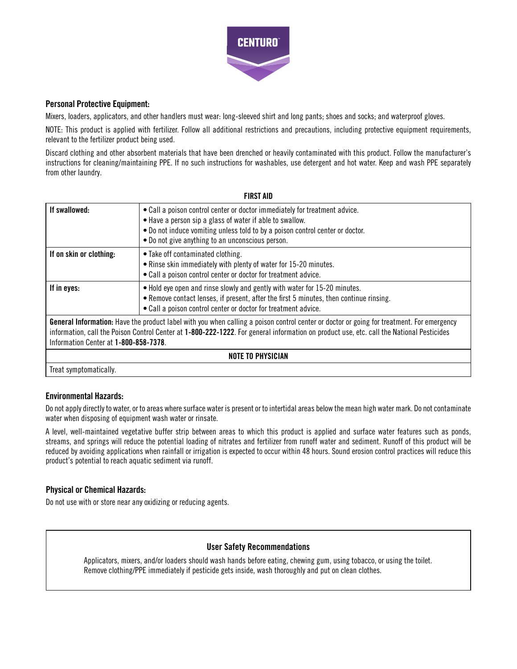

# Personal Protective Equipment:

Mixers, loaders, applicators, and other handlers must wear: long-sleeved shirt and long pants; shoes and socks; and waterproof gloves.

NOTE: This product is applied with fertilizer. Follow all additional restrictions and precautions, including protective equipment requirements, relevant to the fertilizer product being used.

Discard clothing and other absorbent materials that have been drenched or heavily contaminated with this product. Follow the manufacturer's instructions for cleaning/maintaining PPE. If no such instructions for washables, use detergent and hot water. Keep and wash PPE separately from other laundry.

| <b>FIRST AID</b>                                                                                                                                                                                                                                                                                                               |                                                                                                                                                                                                                                                                             |  |
|--------------------------------------------------------------------------------------------------------------------------------------------------------------------------------------------------------------------------------------------------------------------------------------------------------------------------------|-----------------------------------------------------------------------------------------------------------------------------------------------------------------------------------------------------------------------------------------------------------------------------|--|
| If swallowed:                                                                                                                                                                                                                                                                                                                  | • Call a poison control center or doctor immediately for treatment advice.<br>• Have a person sip a glass of water if able to swallow.<br>• Do not induce vomiting unless told to by a poison control center or doctor.<br>• Do not give anything to an unconscious person. |  |
| If on skin or clothing:                                                                                                                                                                                                                                                                                                        | • Take off contaminated clothing.<br>• Rinse skin immediately with plenty of water for 15-20 minutes.<br>• Call a poison control center or doctor for treatment advice.                                                                                                     |  |
| If in eyes:                                                                                                                                                                                                                                                                                                                    | • Hold eye open and rinse slowly and gently with water for 15-20 minutes.<br>• Remove contact lenses, if present, after the first 5 minutes, then continue rinsing.<br>• Call a poison control center or doctor for treatment advice.                                       |  |
| General Information: Have the product label with you when calling a poison control center or doctor or going for treatment. For emergency<br>information, call the Poison Control Center at 1-800-222-1222. For general information on product use, etc. call the National Pesticides<br>Information Center at 1-800-858-7378. |                                                                                                                                                                                                                                                                             |  |
| <b>NOTE TO PHYSICIAN</b>                                                                                                                                                                                                                                                                                                       |                                                                                                                                                                                                                                                                             |  |
| Treat symptomatically.                                                                                                                                                                                                                                                                                                         |                                                                                                                                                                                                                                                                             |  |

# Environmental Hazards:

Do not apply directly to water, or to areas where surface water is present or to intertidal areas below the mean high water mark. Do not contaminate water when disposing of equipment wash water or rinsate.

A level, well-maintained vegetative buffer strip between areas to which this product is applied and surface water features such as ponds, streams, and springs will reduce the potential loading of nitrates and fertilizer from runoff water and sediment. Runoff of this product will be reduced by avoiding applications when rainfall or irrigation is expected to occur within 48 hours. Sound erosion control practices will reduce this product's potential to reach aquatic sediment via runoff.

# Physical or Chemical Hazards:

Do not use with or store near any oxidizing or reducing agents.

# User Safety Recommendations

Applicators, mixers, and/or loaders should wash hands before eating, chewing gum, using tobacco, or using the toilet. Remove clothing/PPE immediately if pesticide gets inside, wash thoroughly and put on clean clothes.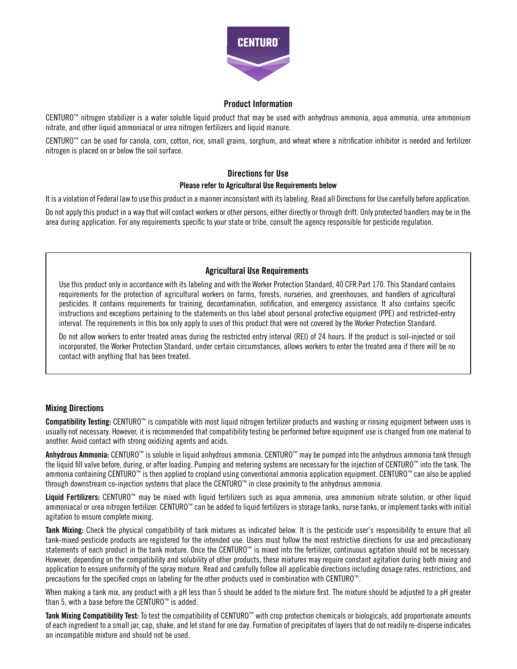

## Product Information

CENTURO™ nitrogen stabilizer is a water soluble liquid product that may be used with anhydrous ammonia, aqua ammonia, urea ammonium nitrate, and other liquid ammoniacal or urea nitrogen fertilizers and liquid manure.

CENTURO™ can be used for canola, corn, cotton, rice, small grains, sorghum, and wheat where a nitrification inhibitor is needed and fertilizer nitrogen is placed on or below the soil surface.

# Directions for Use Please refer to Agricultural Use Requirements below

It is a violation of Federal law to use this product in a manner inconsistent with its labeling. Read all Directions for Use carefully before application.

Do not apply this product in a way that will contact workers or other persons, either directly or through drift. Only protected handlers may be in the area during application. For any requirements specific to your state or tribe, consult the agency responsible for pesticide regulation.

# Agricultural Use Requirements

Use this product only in accordance with its labeling and with the Worker Protection Standard, 40 CFR Part 170. This Standard contains requirements for the protection of agricultural workers on farms, forests, nurseries, and greenhouses, and handlers of agricultural pesticides. It contains requirements for training, decontamination, notification, and emergency assistance. It also contains specific instructions and exceptions pertaining to the statements on this label about personal protective equipment (PPE) and restricted-entry interval. The requirements in this box only apply to uses of this product that were not covered by the Worker Protection Standard.

Do not allow workers to enter treated areas during the restricted entry interval (REI) of 24 hours. If the product is soil-injected or soil incorporated, the Worker Protection Standard, under certain circumstances, allows workers to enter the treated area if there will be no contact with anything that has been treated.

# Mixing Directions

Compatibility Testing: CENTURO™ is compatible with most liquid nitrogen fertilizer products and washing or rinsing equipment between uses is usually not necessary. However, it is recommended that compatibility testing be performed before equipment use is changed from one material to another. Avoid contact with strong oxidizing agents and acids.

Anhydrous Ammonia: CENTURO™ is soluble in liquid anhydrous ammonia. CENTURO™ may be pumped into the anhydrous ammonia tank through the liquid fill valve before, during, or after loading. Pumping and metering systems are necessary for the injection of CENTURO™ into the tank. The ammonia containing CENTURO™ is then applied to cropland using conventional ammonia application equipment. CENTURO™ can also be applied through downstream co-injection systems that place the CENTURO™ in close proximity to the anhydrous ammonia.

Liquid Fertilizers: CENTURO™ may be mixed with liquid fertilizers such as aqua ammonia, urea ammonium nitrate solution, or other liquid ammoniacal or urea nitrogen fertilizer. CENTURO™ can be added to liquid fertilizers in storage tanks, nurse tanks, or implement tanks with initial agitation to ensure complete mixing.

Tank Mixing: Check the physical compatibility of tank mixtures as indicated below. It is the pesticide user's responsibility to ensure that all tank-mixed pesticide products are registered for the intended use. Users must follow the most restrictive directions for use and precautionary statements of each product in the tank mixture. Once the CENTURO™ is mixed into the fertilizer, continuous agitation should not be necessary. However, depending on the compatibility and solubility of other products, these mixtures may require constant agitation during both mixing and application to ensure uniformity of the spray mixture. Read and carefully follow all applicable directions including dosage rates, restrictions, and precautions for the specified crops on labeling for the other products used in combination with CENTURO™.

When making a tank mix, any product with a pH less than 5 should be added to the mixture first. The mixture should be adjusted to a pH greater than 5, with a base before the CENTURO™ is added.

Tank Mixing Compatibility Test: To test the compatibility of CENTURO™ with crop protection chemicals or biologicals, add proportionate amounts of each ingredient to a small jar, cap, shake, and let stand for one day. Formation of precipitates of layers that do not readily re-disperse indicates an incompatible mixture and should not be used.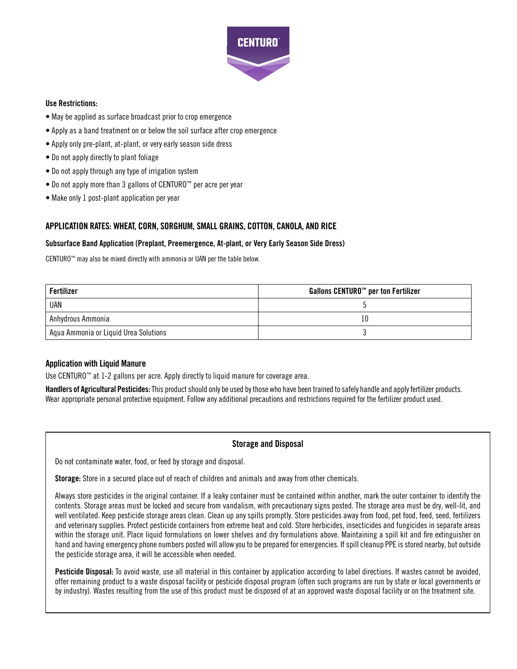

#### Use Restrictions:

- May be applied as surface broadcast prior to crop emergence
- Apply as a band treatment on or below the soil surface after crop emergence
- Apply only pre-plant, at-plant, or very early season side dress
- Do not apply directly to plant foliage
- Do not apply through any type of irrigation system
- Do not apply more than 3 gallons of CENTURO™ per acre per year
- Make only 1 post-plant application per year

# APPLICATION RATES: WHEAT, CORN, SORGHUM, SMALL GRAINS, COTTON, CANOLA, AND RICE

#### Subsurface Band Application (Preplant, Preemergence, At-plant, or Very Early Season Side Dress)

CENTURO™ may also be mixed directly with ammonia or UAN per the table below.

| Fertilizer                            | Gallons CENTURO <sup>™</sup> per ton Fertilizer |
|---------------------------------------|-------------------------------------------------|
| UAN                                   |                                                 |
| Anhydrous Ammonia                     | 10                                              |
| Aqua Ammonia or Liquid Urea Solutions |                                                 |

#### Application with Liquid Manure

Use CENTURO™ at 1-2 gallons per acre. Apply directly to liquid manure for coverage area.

Handlers of Agricultural Pesticides: This product should only be used by those who have been trained to safely handle and apply fertilizer products. Wear appropriate personal protective equipment. Follow any additional precautions and restrictions required for the fertilizer product used.

#### Storage and Disposal

Do not contaminate water, food, or feed by storage and disposal.

Storage: Store in a secured place out of reach of children and animals and away from other chemicals.

Always store pesticides in the original container. If a leaky container must be contained within another, mark the outer container to identify the contents. Storage areas must be locked and secure from vandalism, with precautionary signs posted. The storage area must be dry, well-lit, and well ventilated. Keep pesticide storage areas clean. Clean up any spills promptly. Store pesticides away from food, pet food, feed, seed, fertilizers and veterinary supplies. Protect pesticide containers from extreme heat and cold. Store herbicides, insecticides and fungicides in separate areas within the storage unit. Place liquid formulations on lower shelves and dry formulations above. Maintaining a spill kit and fire extinguisher on hand and having emergency phone numbers posted will allow you to be prepared for emergencies. If spill cleanup PPE is stored nearby, but outside the pesticide storage area, it will be accessible when needed.

Pesticide Disposal: To avoid waste, use all material in this container by application according to label directions. If wastes cannot be avoided, offer remaining product to a waste disposal facility or pesticide disposal program (often such programs are run by state or local governments or by industry). Wastes resulting from the use of this product must be disposed of at an approved waste disposal facility or on the treatment site.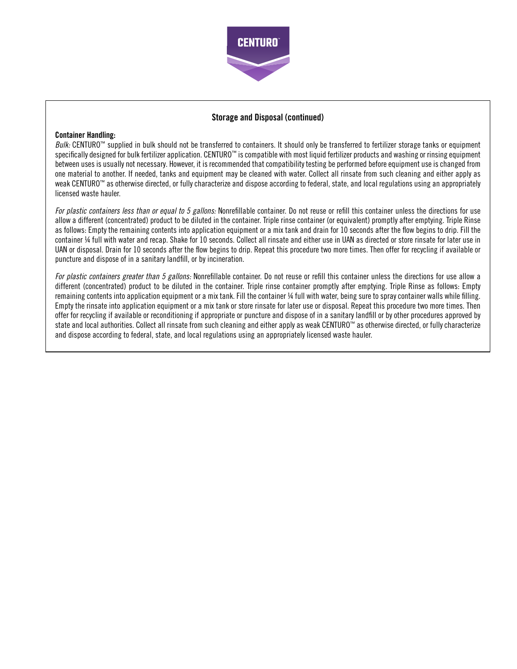

# Storage and Disposal (continued)

#### Container Handling:

*Bulk:* CENTURO™ supplied in bulk should not be transferred to containers. It should only be transferred to fertilizer storage tanks or equipment specifically designed for bulk fertilizer application. CENTURO™ is compatible with most liquid fertilizer products and washing or rinsing equipment between uses is usually not necessary. However, it is recommended that compatibility testing be performed before equipment use is changed from one material to another. If needed, tanks and equipment may be cleaned with water. Collect all rinsate from such cleaning and either apply as weak CENTURO™ as otherwise directed, or fully characterize and dispose according to federal, state, and local regulations using an appropriately licensed waste hauler.

*For plastic containers less than or equal to 5 gallons:* Nonrefillable container. Do not reuse or refill this container unless the directions for use allow a different (concentrated) product to be diluted in the container. Triple rinse container (or equivalent) promptly after emptying. Triple Rinse as follows: Empty the remaining contents into application equipment or a mix tank and drain for 10 seconds after the flow begins to drip. Fill the container ¼ full with water and recap. Shake for 10 seconds. Collect all rinsate and either use in UAN as directed or store rinsate for later use in UAN or disposal. Drain for 10 seconds after the flow begins to drip. Repeat this procedure two more times. Then offer for recycling if available or puncture and dispose of in a sanitary landfill, or by incineration.

*For plastic containers greater than 5 gallons:* Nonrefillable container. Do not reuse or refill this container unless the directions for use allow a different (concentrated) product to be diluted in the container. Triple rinse container promptly after emptying. Triple Rinse as follows: Empty remaining contents into application equipment or a mix tank. Fill the container ¼ full with water, being sure to spray container walls while filling. Empty the rinsate into application equipment or a mix tank or store rinsate for later use or disposal. Repeat this procedure two more times. Then offer for recycling if available or reconditioning if appropriate or puncture and dispose of in a sanitary landfill or by other procedures approved by state and local authorities. Collect all rinsate from such cleaning and either apply as weak CENTURO™ as otherwise directed, or fully characterize and dispose according to federal, state, and local regulations using an appropriately licensed waste hauler.